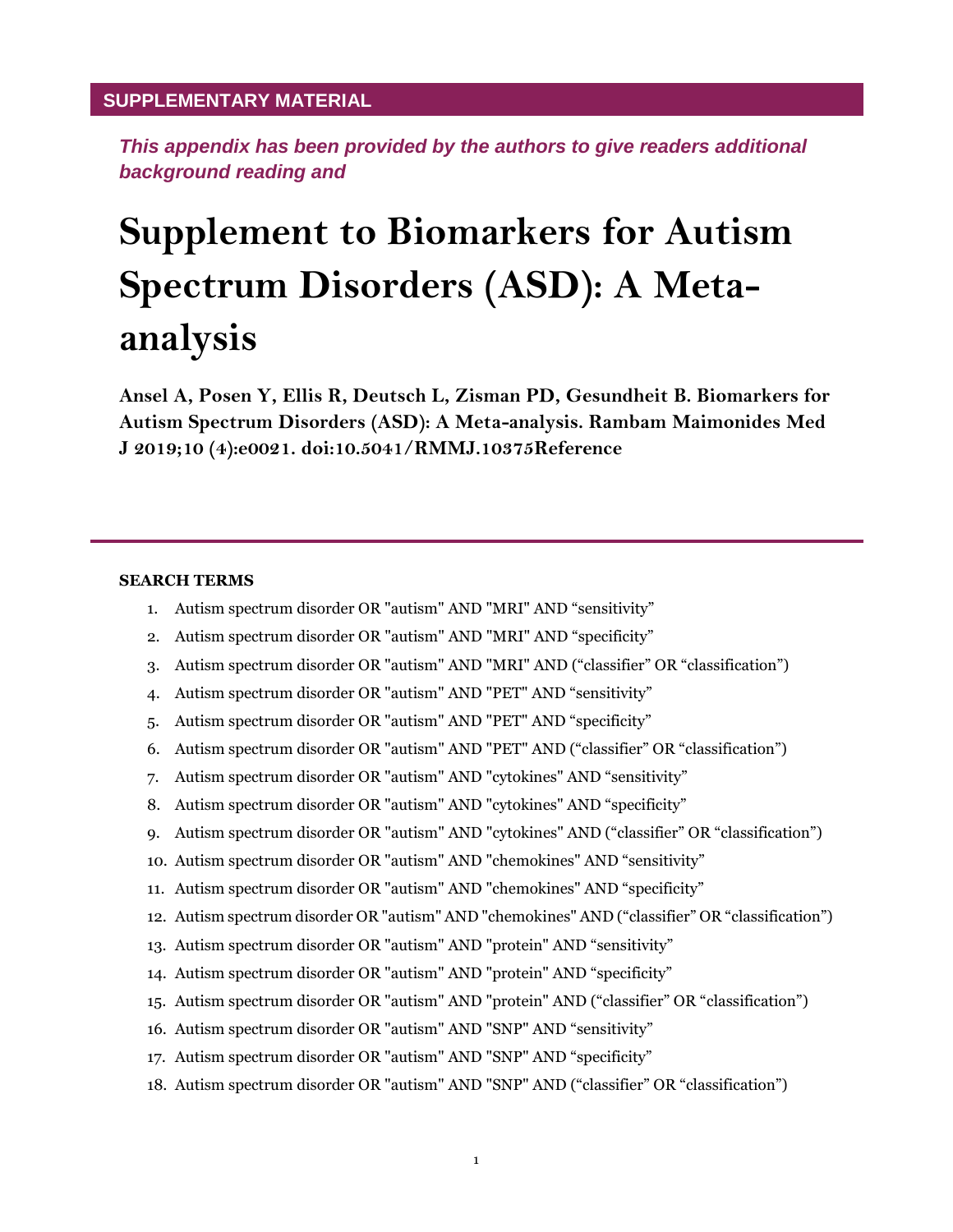## **SUPPLEMENTARY MATERIAL**

*This appendix has been provided by the authors to give readers additional background reading and*

## **Supplement to Biomarkers for Autism Spectrum Disorders (ASD): A Metaanalysis**

**Ansel A, Posen Y, Ellis R, Deutsch L, Zisman PD, Gesundheit B. Biomarkers for Autism Spectrum Disorders (ASD): A Meta-analysis. Rambam Maimonides Med J 2019;10 (4):e0021. doi:10.5041/RMMJ.10375Reference**

## **SEARCH TERMS**

- 1. Autism spectrum disorder OR "autism" AND "MRI" AND "sensitivity"
- 2. Autism spectrum disorder OR "autism" AND "MRI" AND "specificity"
- 3. Autism spectrum disorder OR "autism" AND "MRI" AND ("classifier" OR "classification")
- 4. Autism spectrum disorder OR "autism" AND "PET" AND "sensitivity"
- 5. Autism spectrum disorder OR "autism" AND "PET" AND "specificity"
- 6. Autism spectrum disorder OR "autism" AND "PET" AND ("classifier" OR "classification")
- 7. Autism spectrum disorder OR "autism" AND "cytokines" AND "sensitivity"
- 8. Autism spectrum disorder OR "autism" AND "cytokines" AND "specificity"
- 9. Autism spectrum disorder OR "autism" AND "cytokines" AND ("classifier" OR "classification")
- 10. Autism spectrum disorder OR "autism" AND "chemokines" AND "sensitivity"
- 11. Autism spectrum disorder OR "autism" AND "chemokines" AND "specificity"
- 12. Autism spectrum disorder OR "autism" AND "chemokines" AND ("classifier" OR "classification")
- 13. Autism spectrum disorder OR "autism" AND "protein" AND "sensitivity"
- 14. Autism spectrum disorder OR "autism" AND "protein" AND "specificity"
- 15. Autism spectrum disorder OR "autism" AND "protein" AND ("classifier" OR "classification")
- 16. Autism spectrum disorder OR "autism" AND "SNP" AND "sensitivity"
- 17. Autism spectrum disorder OR "autism" AND "SNP" AND "specificity"
- 18. Autism spectrum disorder OR "autism" AND "SNP" AND ("classifier" OR "classification")